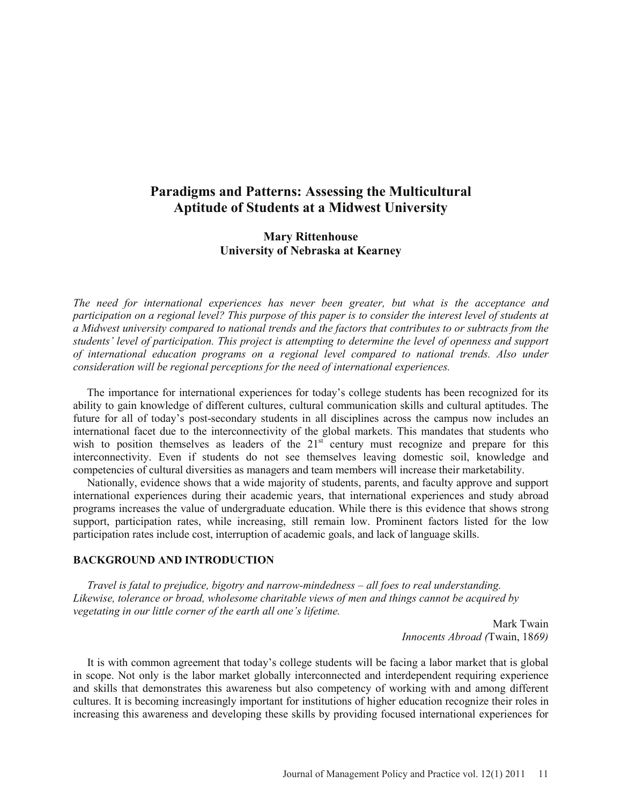# **Paradigms and Patterns: Assessing the Multicultural Aptitude of Students at a Midwest University**

# **Mary Rittenhouse University of Nebraska at Kearney**

*The need for international experiences has never been greater, but what is the acceptance and participation on a regional level? This purpose of this paper is to consider the interest level of students at a Midwest university compared to national trends and the factors that contributes to or subtracts from the students' level of participation. This project is attempting to determine the level of openness and support of international education programs on a regional level compared to national trends. Also under consideration will be regional perceptions for the need of international experiences.*

The importance for international experiences for today's college students has been recognized for its ability to gain knowledge of different cultures, cultural communication skills and cultural aptitudes. The future for all of today's post-secondary students in all disciplines across the campus now includes an international facet due to the interconnectivity of the global markets. This mandates that students who wish to position themselves as leaders of the  $21<sup>st</sup>$  century must recognize and prepare for this interconnectivity. Even if students do not see themselves leaving domestic soil, knowledge and competencies of cultural diversities as managers and team members will increase their marketability.

Nationally, evidence shows that a wide majority of students, parents, and faculty approve and support international experiences during their academic years, that international experiences and study abroad programs increases the value of undergraduate education. While there is this evidence that shows strong support, participation rates, while increasing, still remain low. Prominent factors listed for the low participation rates include cost, interruption of academic goals, and lack of language skills.

#### **BACKGROUND AND INTRODUCTION**

 *Travel is fatal to prejudice, bigotry and narrow-mindedness – all foes to real understanding. Likewise, tolerance or broad, wholesome charitable views of men and things cannot be acquired by vegetating in our little corner of the earth all one's lifetime.*

> Mark Twain *Innocents Abroad (*Twain, 18*69)*

It is with common agreement that today's college students will be facing a labor market that is global in scope. Not only is the labor market globally interconnected and interdependent requiring experience and skills that demonstrates this awareness but also competency of working with and among different cultures. It is becoming increasingly important for institutions of higher education recognize their roles in increasing this awareness and developing these skills by providing focused international experiences for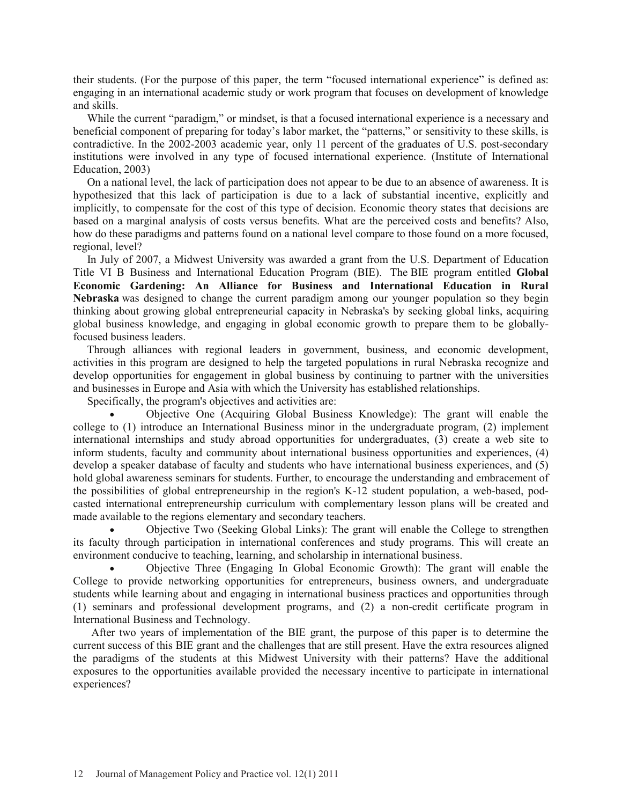their students. (For the purpose of this paper, the term "focused international experience" is defined as: engaging in an international academic study or work program that focuses on development of knowledge and skills.

While the current "paradigm," or mindset, is that a focused international experience is a necessary and beneficial component of preparing for today's labor market, the "patterns," or sensitivity to these skills, is contradictive. In the 2002-2003 academic year, only 11 percent of the graduates of U.S. post-secondary institutions were involved in any type of focused international experience. (Institute of International Education, 2003)

On a national level, the lack of participation does not appear to be due to an absence of awareness. It is hypothesized that this lack of participation is due to a lack of substantial incentive, explicitly and implicitly, to compensate for the cost of this type of decision. Economic theory states that decisions are based on a marginal analysis of costs versus benefits. What are the perceived costs and benefits? Also, how do these paradigms and patterns found on a national level compare to those found on a more focused, regional, level?

In July of 2007, a Midwest University was awarded a grant from the U.S. Department of Education Title VI B Business and International Education Program (BIE). The BIE program entitled **Global Economic Gardening: An Alliance for Business and International Education in Rural Nebraska** was designed to change the current paradigm among our younger population so they begin thinking about growing global entrepreneurial capacity in Nebraska's by seeking global links, acquiring global business knowledge, and engaging in global economic growth to prepare them to be globallyfocused business leaders.

Through alliances with regional leaders in government, business, and economic development, activities in this program are designed to help the targeted populations in rural Nebraska recognize and develop opportunities for engagement in global business by continuing to partner with the universities and businesses in Europe and Asia with which the University has established relationships.

Specifically, the program's objectives and activities are:

x Objective One (Acquiring Global Business Knowledge): The grant will enable the college to (1) introduce an International Business minor in the undergraduate program, (2) implement international internships and study abroad opportunities for undergraduates, (3) create a web site to inform students, faculty and community about international business opportunities and experiences, (4) develop a speaker database of faculty and students who have international business experiences, and (5) hold global awareness seminars for students. Further, to encourage the understanding and embracement of the possibilities of global entrepreneurship in the region's K-12 student population, a web-based, podcasted international entrepreneurship curriculum with complementary lesson plans will be created and made available to the regions elementary and secondary teachers.

Objective Two (Seeking Global Links): The grant will enable the College to strengthen its faculty through participation in international conferences and study programs. This will create an environment conducive to teaching, learning, and scholarship in international business.

x Objective Three (Engaging In Global Economic Growth): The grant will enable the College to provide networking opportunities for entrepreneurs, business owners, and undergraduate students while learning about and engaging in international business practices and opportunities through (1) seminars and professional development programs, and (2) a non-credit certificate program in International Business and Technology.

After two years of implementation of the BIE grant, the purpose of this paper is to determine the current success of this BIE grant and the challenges that are still present. Have the extra resources aligned the paradigms of the students at this Midwest University with their patterns? Have the additional exposures to the opportunities available provided the necessary incentive to participate in international experiences?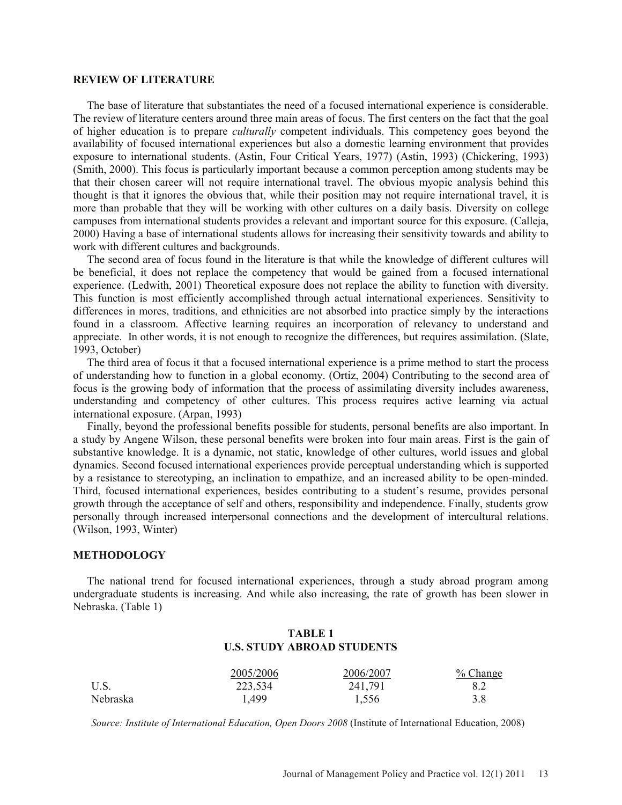#### **REVIEW OF LITERATURE**

The base of literature that substantiates the need of a focused international experience is considerable. The review of literature centers around three main areas of focus. The first centers on the fact that the goal of higher education is to prepare *culturally* competent individuals. This competency goes beyond the availability of focused international experiences but also a domestic learning environment that provides exposure to international students. (Astin, Four Critical Years, 1977) (Astin, 1993) (Chickering, 1993) (Smith, 2000). This focus is particularly important because a common perception among students may be that their chosen career will not require international travel. The obvious myopic analysis behind this thought is that it ignores the obvious that, while their position may not require international travel, it is more than probable that they will be working with other cultures on a daily basis. Diversity on college campuses from international students provides a relevant and important source for this exposure. (Calleja, 2000) Having a base of international students allows for increasing their sensitivity towards and ability to work with different cultures and backgrounds.

The second area of focus found in the literature is that while the knowledge of different cultures will be beneficial, it does not replace the competency that would be gained from a focused international experience. (Ledwith, 2001) Theoretical exposure does not replace the ability to function with diversity. This function is most efficiently accomplished through actual international experiences. Sensitivity to differences in mores, traditions, and ethnicities are not absorbed into practice simply by the interactions found in a classroom. Affective learning requires an incorporation of relevancy to understand and appreciate. In other words, it is not enough to recognize the differences, but requires assimilation. (Slate, 1993, October)

The third area of focus it that a focused international experience is a prime method to start the process of understanding how to function in a global economy. (Ortiz, 2004) Contributing to the second area of focus is the growing body of information that the process of assimilating diversity includes awareness, understanding and competency of other cultures. This process requires active learning via actual international exposure. (Arpan, 1993)

Finally, beyond the professional benefits possible for students, personal benefits are also important. In a study by Angene Wilson, these personal benefits were broken into four main areas. First is the gain of substantive knowledge. It is a dynamic, not static, knowledge of other cultures, world issues and global dynamics. Second focused international experiences provide perceptual understanding which is supported by a resistance to stereotyping, an inclination to empathize, and an increased ability to be open-minded. Third, focused international experiences, besides contributing to a student's resume, provides personal growth through the acceptance of self and others, responsibility and independence. Finally, students grow personally through increased interpersonal connections and the development of intercultural relations. (Wilson, 1993, Winter)

#### **METHODOLOGY**

The national trend for focused international experiences, through a study abroad program among undergraduate students is increasing. And while also increasing, the rate of growth has been slower in Nebraska. (Table 1)

### **TABLE 1 U.S. STUDY ABROAD STUDENTS**

|          | 2005/2006 | 2006/2007 | $%$ Change |
|----------|-----------|-----------|------------|
| U.S.     | 223,534   | 241,791   | 8.2        |
| Nebraska | 1,499     | 1,556     | 3.8        |

*Source: Institute of International Education, Open Doors 2008* (Institute of International Education, 2008)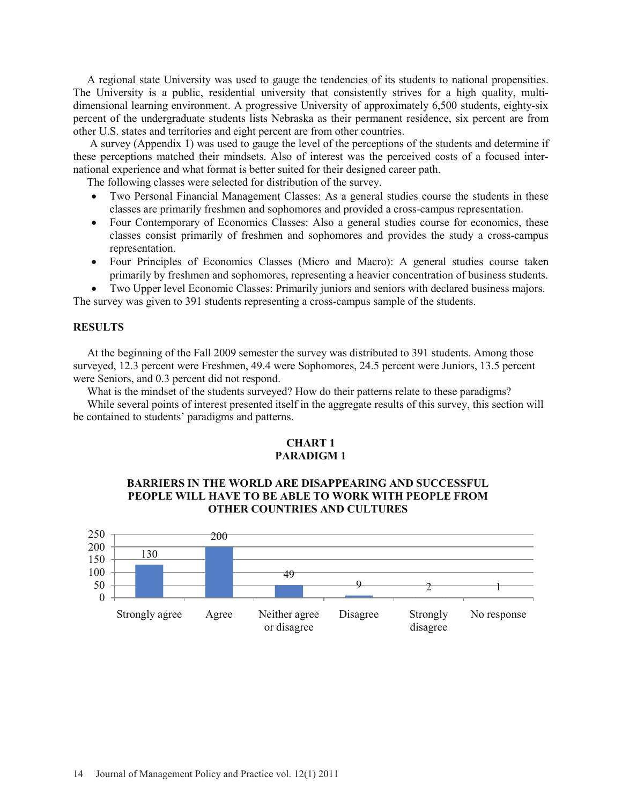A regional state University was used to gauge the tendencies of its students to national propensities. The University is a public, residential university that consistently strives for a high quality, multidimensional learning environment. A progressive University of approximately 6,500 students, eighty-six percent of the undergraduate students lists Nebraska as their permanent residence, six percent are from other U.S. states and territories and eight percent are from other countries.

A survey (Appendix 1) was used to gauge the level of the perceptions of the students and determine if these perceptions matched their mindsets. Also of interest was the perceived costs of a focused international experience and what format is better suited for their designed career path.

The following classes were selected for distribution of the survey.

- Two Personal Financial Management Classes: As a general studies course the students in these classes are primarily freshmen and sophomores and provided a cross-campus representation.
- Four Contemporary of Economics Classes: Also a general studies course for economics, these classes consist primarily of freshmen and sophomores and provides the study a cross-campus representation.
- Four Principles of Economics Classes (Micro and Macro): A general studies course taken primarily by freshmen and sophomores, representing a heavier concentration of business students.

Two Upper level Economic Classes: Primarily juniors and seniors with declared business majors.

The survey was given to 391 students representing a cross-campus sample of the students.

### **RESULTS**

At the beginning of the Fall 2009 semester the survey was distributed to 391 students. Among those surveyed, 12.3 percent were Freshmen, 49.4 were Sophomores, 24.5 percent were Juniors, 13.5 percent were Seniors, and 0.3 percent did not respond.

What is the mindset of the students surveyed? How do their patterns relate to these paradigms?

While several points of interest presented itself in the aggregate results of this survey, this section will be contained to students' paradigms and patterns.

### **CHART 1 PARADIGM 1**

# **BARRIERS IN THE WORLD ARE DISAPPEARING AND SUCCESSFUL PEOPLE WILL HAVE TO BE ABLE TO WORK WITH PEOPLE FROM OTHER COUNTRIES AND CULTURES**

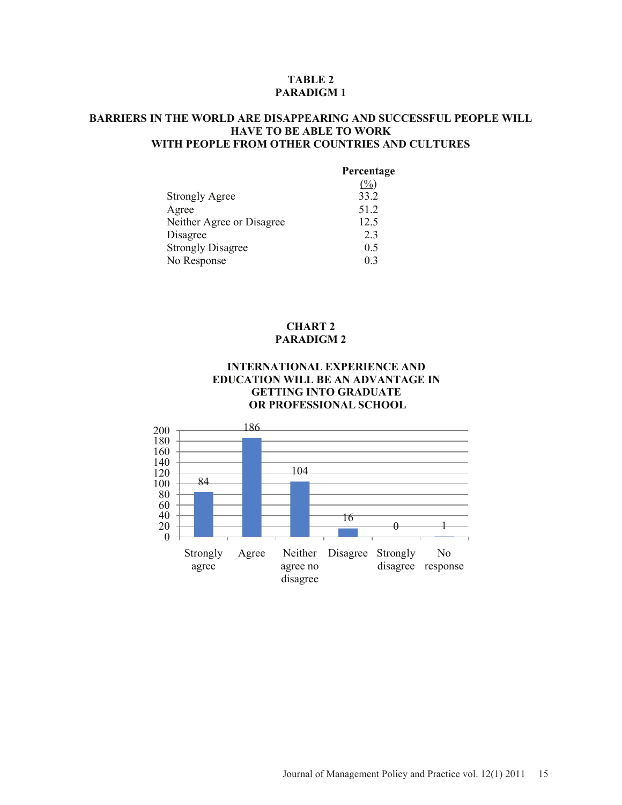### **TABLE 2 PARADIGM 1**

# **BARRIERS IN THE WORLD ARE DISAPPEARING AND SUCCESSFUL PEOPLE WILL HAVE TO BE ABLE TO WORK WITH PEOPLE FROM OTHER COUNTRIES AND CULTURES**

|                           | Percentage |
|---------------------------|------------|
|                           | $(\%)$     |
| <b>Strongly Agree</b>     | 33.2       |
| Agree                     | 51.2       |
| Neither Agree or Disagree | 12.5       |
| Disagree                  | 2.3        |
| <b>Strongly Disagree</b>  | 0.5        |
| No Response               | 0.3        |

#### **CHART 2 PARADIGM 2**

### **INTERNATIONAL EXPERIENCE AND EDUCATION WILL BE AN ADVANTAGE IN GETTING INTO GRADUATE OR PROFESSIONAL SCHOOL**

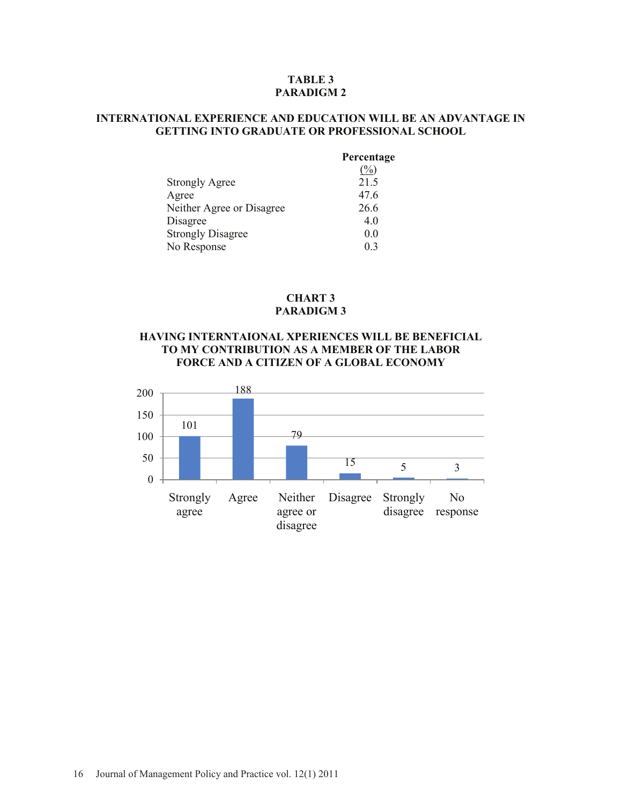### **TABLE 3 PARADIGM 2**

# **INTERNATIONAL EXPERIENCE AND EDUCATION WILL BE AN ADVANTAGE IN GETTING INTO GRADUATE OR PROFESSIONAL SCHOOL**

|                           | Percentage       |
|---------------------------|------------------|
|                           | $\mathcal{O}'_0$ |
| <b>Strongly Agree</b>     | 21.5             |
| Agree                     | 47.6             |
| Neither Agree or Disagree | 26.6             |
| Disagree                  | 4.0              |
| <b>Strongly Disagree</b>  | 0.0              |
| No Response               | 0 <sub>3</sub>   |

### **CHART 3 PARADIGM 3**

# **HAVING INTERNTAIONAL XPERIENCES WILL BE BENEFICIAL TO MY CONTRIBUTION AS A MEMBER OF THE LABOR FORCE AND A CITIZEN OF A GLOBAL ECONOMY**

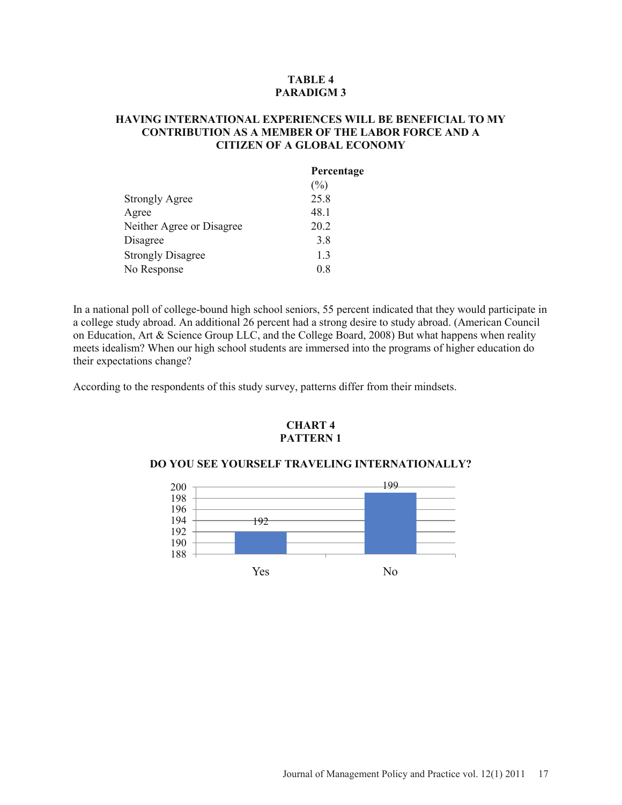# **TABLE 4 PARADIGM 3**

# **HAVING INTERNATIONAL EXPERIENCES WILL BE BENEFICIAL TO MY CONTRIBUTION AS A MEMBER OF THE LABOR FORCE AND A CITIZEN OF A GLOBAL ECONOMY**

|                           | Percentage |
|---------------------------|------------|
|                           | $(\%)$     |
| <b>Strongly Agree</b>     | 25.8       |
| Agree                     | 48.1       |
| Neither Agree or Disagree | 20.2       |
| Disagree                  | 3.8        |
| <b>Strongly Disagree</b>  | 13         |
| No Response               | 0.8        |

In a national poll of college-bound high school seniors, 55 percent indicated that they would participate in a college study abroad. An additional 26 percent had a strong desire to study abroad. (American Council on Education, Art & Science Group LLC, and the College Board, 2008) But what happens when reality meets idealism? When our high school students are immersed into the programs of higher education do their expectations change?

According to the respondents of this study survey, patterns differ from their mindsets.

### **CHART 4 PATTERN 1**

#### **DO YOU SEE YOURSELF TRAVELING INTERNATIONALLY?**

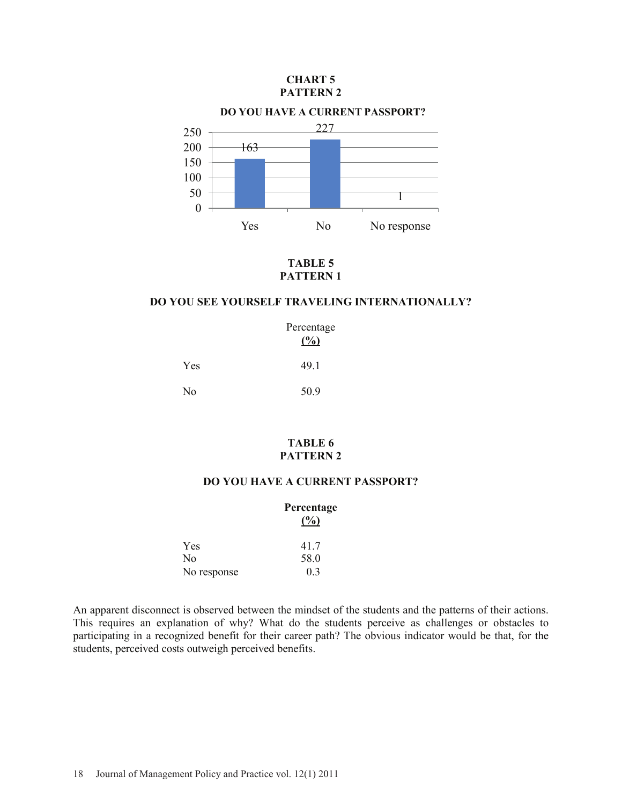#### **CHART 5 PATTERN 2**



**TABLE 5 PATTERN 1**

# **DO YOU SEE YOURSELF TRAVELING INTERNATIONALLY?**

| Percentage<br>(%) |      |
|-------------------|------|
| Yes               | 49.1 |
| No                | 50.9 |

# **TABLE 6 PATTERN 2**

### **DO YOU HAVE A CURRENT PASSPORT?**

| Percentage<br>(%) |
|-------------------|
| 41.7              |
| 58.0              |
| 0 <sub>3</sub>    |
|                   |

An apparent disconnect is observed between the mindset of the students and the patterns of their actions. This requires an explanation of why? What do the students perceive as challenges or obstacles to participating in a recognized benefit for their career path? The obvious indicator would be that, for the students, perceived costs outweigh perceived benefits.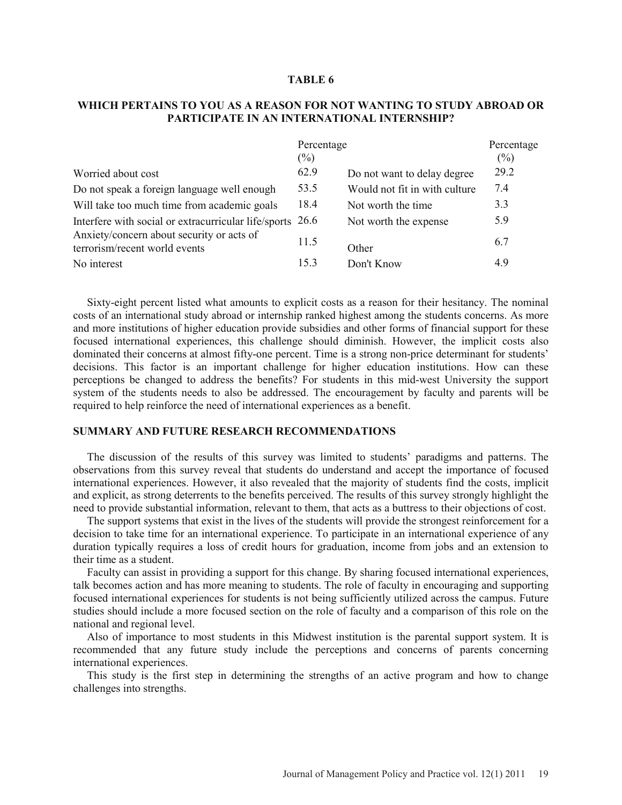#### **TABLE 6**

#### **WHICH PERTAINS TO YOU AS A REASON FOR NOT WANTING TO STUDY ABROAD OR PARTICIPATE IN AN INTERNATIONAL INTERNSHIP?**

|                                                                            | Percentage |                               | Percentage |
|----------------------------------------------------------------------------|------------|-------------------------------|------------|
|                                                                            | $(\%)$     |                               | (%)        |
| Worried about cost                                                         | 62.9       | Do not want to delay degree   | 29.2       |
| Do not speak a foreign language well enough                                | 53.5       | Would not fit in with culture | 7.4        |
| Will take too much time from academic goals                                | 18.4       | Not worth the time.           | 3.3        |
| Interfere with social or extracurricular life/sports                       | 26.6       | Not worth the expense         | 5.9        |
| Anxiety/concern about security or acts of<br>terrorism/recent world events | 11.5       | Other                         | 6.7        |
| No interest                                                                | 15.3       | Don't Know                    | 4.9        |

Sixty-eight percent listed what amounts to explicit costs as a reason for their hesitancy. The nominal costs of an international study abroad or internship ranked highest among the students concerns. As more and more institutions of higher education provide subsidies and other forms of financial support for these focused international experiences, this challenge should diminish. However, the implicit costs also dominated their concerns at almost fifty-one percent. Time is a strong non-price determinant for students' decisions. This factor is an important challenge for higher education institutions. How can these perceptions be changed to address the benefits? For students in this mid-west University the support system of the students needs to also be addressed. The encouragement by faculty and parents will be required to help reinforce the need of international experiences as a benefit.

#### **SUMMARY AND FUTURE RESEARCH RECOMMENDATIONS**

The discussion of the results of this survey was limited to students' paradigms and patterns. The observations from this survey reveal that students do understand and accept the importance of focused international experiences. However, it also revealed that the majority of students find the costs, implicit and explicit, as strong deterrents to the benefits perceived. The results of this survey strongly highlight the need to provide substantial information, relevant to them, that acts as a buttress to their objections of cost.

The support systems that exist in the lives of the students will provide the strongest reinforcement for a decision to take time for an international experience. To participate in an international experience of any duration typically requires a loss of credit hours for graduation, income from jobs and an extension to their time as a student.

Faculty can assist in providing a support for this change. By sharing focused international experiences, talk becomes action and has more meaning to students. The role of faculty in encouraging and supporting focused international experiences for students is not being sufficiently utilized across the campus. Future studies should include a more focused section on the role of faculty and a comparison of this role on the national and regional level.

Also of importance to most students in this Midwest institution is the parental support system. It is recommended that any future study include the perceptions and concerns of parents concerning international experiences.

This study is the first step in determining the strengths of an active program and how to change challenges into strengths.